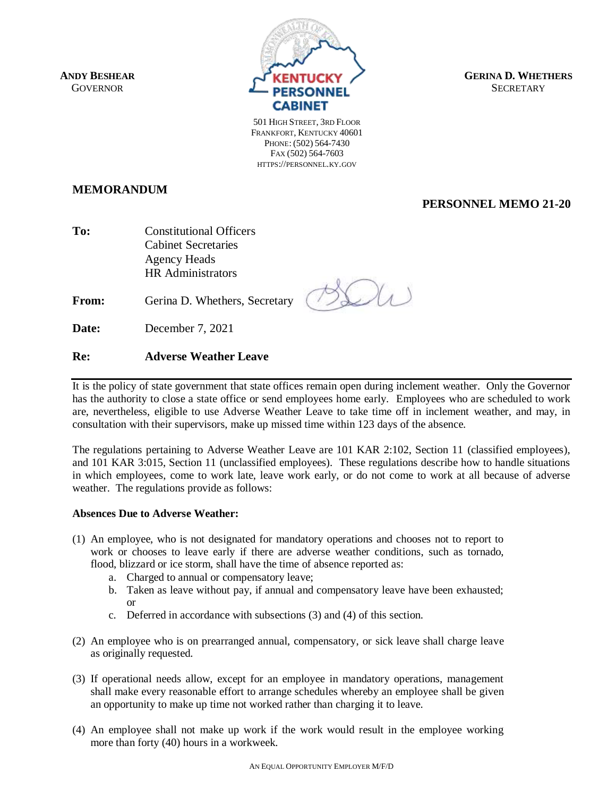

**GERINA D. WHETHERS SECRETARY** 

501 HIGH STREET, 3RD FLOOR FRANKFORT, KENTUCKY 40601 PHONE: (502) 564-7430 FAX (502) 564-7603 HTTPS://PERSONNEL.KY.GOV

## **MEMORANDUM**

## **PERSONNEL MEMO 21-20**

**To:** Constitutional Officers Cabinet Secretaries Agency Heads HR Administrators

**From:** Gerina D. Whethers, Secretary

**Date:** December 7, 2021

**Re: Adverse Weather Leave**

It is the policy of state government that state offices remain open during inclement weather. Only the Governor has the authority to close a state office or send employees home early. Employees who are scheduled to work are, nevertheless, eligible to use Adverse Weather Leave to take time off in inclement weather, and may, in consultation with their supervisors, make up missed time within 123 days of the absence.

The regulations pertaining to Adverse Weather Leave are 101 KAR 2:102, Section 11 (classified employees), and 101 KAR 3:015, Section 11 (unclassified employees). These regulations describe how to handle situations in which employees, come to work late, leave work early, or do not come to work at all because of adverse weather. The regulations provide as follows:

## **Absences Due to Adverse Weather:**

- (1) An employee, who is not designated for mandatory operations and chooses not to report to work or chooses to leave early if there are adverse weather conditions, such as tornado, flood, blizzard or ice storm, shall have the time of absence reported as:
	- a. Charged to annual or compensatory leave;
	- b. Taken as leave without pay, if annual and compensatory leave have been exhausted; or
	- c. Deferred in accordance with subsections (3) and (4) of this section.
- (2) An employee who is on prearranged annual, compensatory, or sick leave shall charge leave as originally requested.
- (3) If operational needs allow, except for an employee in mandatory operations, management shall make every reasonable effort to arrange schedules whereby an employee shall be given an opportunity to make up time not worked rather than charging it to leave.
- (4) An employee shall not make up work if the work would result in the employee working more than forty (40) hours in a workweek.